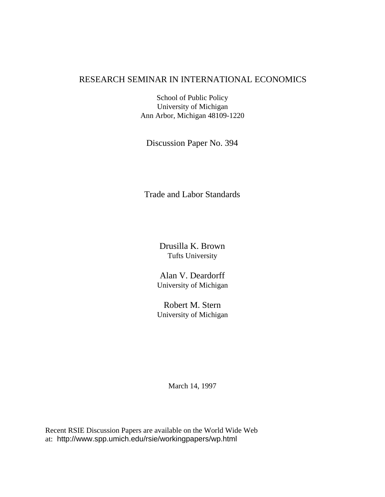# RESEARCH SEMINAR IN INTERNATIONAL ECONOMICS

School of Public Policy University of Michigan Ann Arbor, Michigan 48109-1220

Discussion Paper No. 394

Trade and Labor Standards

Drusilla K. Brown Tufts University

Alan V. Deardorff University of Michigan

Robert M. Stern University of Michigan

March 14, 1997

Recent RSIE Discussion Papers are available on the World Wide Web at: http://www.spp.umich.edu/rsie/workingpapers/wp.html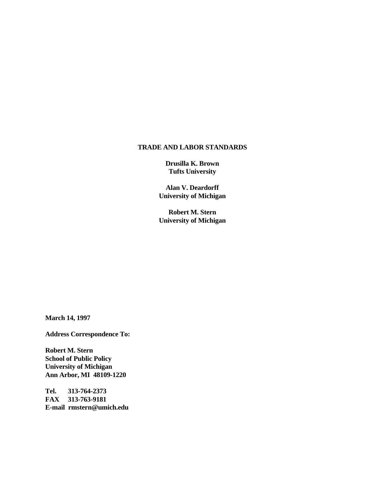## **TRADE AND LABOR STANDARDS**

**Drusilla K. Brown Tufts University**

**Alan V. Deardorff University of Michigan**

**Robert M. Stern University of Michigan**

**March 14, 1997**

**Address Correspondence To:**

**Robert M. Stern School of Public Policy University of Michigan Ann Arbor, MI 48109-1220**

**Tel. 313-764-2373 FAX 313-763-9181 E-mail rmstern@umich.edu**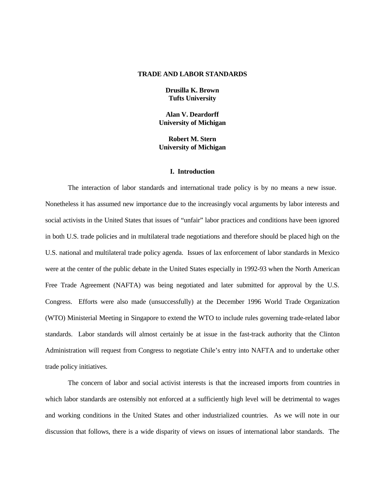#### **TRADE AND LABOR STANDARDS**

**Drusilla K. Brown Tufts University**

**Alan V. Deardorff University of Michigan**

**Robert M. Stern University of Michigan**

#### **I. Introduction**

The interaction of labor standards and international trade policy is by no means a new issue. Nonetheless it has assumed new importance due to the increasingly vocal arguments by labor interests and social activists in the United States that issues of "unfair" labor practices and conditions have been ignored in both U.S. trade policies and in multilateral trade negotiations and therefore should be placed high on the U.S. national and multilateral trade policy agenda. Issues of lax enforcement of labor standards in Mexico were at the center of the public debate in the United States especially in 1992-93 when the North American Free Trade Agreement (NAFTA) was being negotiated and later submitted for approval by the U.S. Congress. Efforts were also made (unsuccessfully) at the December 1996 World Trade Organization (WTO) Ministerial Meeting in Singapore to extend the WTO to include rules governing trade-related labor standards. Labor standards will almost certainly be at issue in the fast-track authority that the Clinton Administration will request from Congress to negotiate Chile's entry into NAFTA and to undertake other trade policy initiatives.

The concern of labor and social activist interests is that the increased imports from countries in which labor standards are ostensibly not enforced at a sufficiently high level will be detrimental to wages and working conditions in the United States and other industrialized countries. As we will note in our discussion that follows, there is a wide disparity of views on issues of international labor standards. The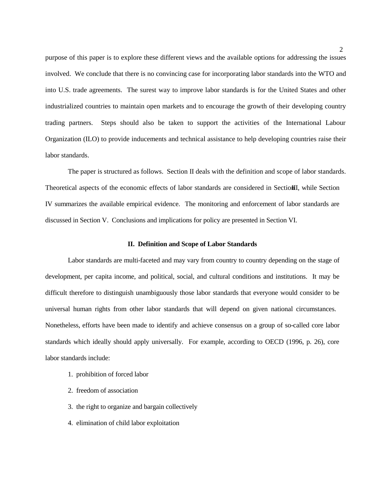purpose of this paper is to explore these different views and the available options for addressing the issues involved. We conclude that there is no convincing case for incorporating labor standards into the WTO and into U.S. trade agreements. The surest way to improve labor standards is for the United States and other industrialized countries to maintain open markets and to encourage the growth of their developing country trading partners. Steps should also be taken to support the activities of the International Labour Organization (ILO) to provide inducements and technical assistance to help developing countries raise their labor standards.

The paper is structured as follows. Section II deals with the definition and scope of labor standards. Theoretical aspects of the economic effects of labor standards are considered in Section II, while Section IV summarizes the available empirical evidence. The monitoring and enforcement of labor standards are discussed in Section V. Conclusions and implications for policy are presented in Section VI.

#### **II. Definition and Scope of Labor Standards**

Labor standards are multi-faceted and may vary from country to country depending on the stage of development, per capita income, and political, social, and cultural conditions and institutions. It may be difficult therefore to distinguish unambiguously those labor standards that everyone would consider to be universal human rights from other labor standards that will depend on given national circumstances. Nonetheless, efforts have been made to identify and achieve consensus on a group of so-called core labor standards which ideally should apply universally. For example, according to OECD (1996, p. 26), core labor standards include:

- 1. prohibition of forced labor
- 2. freedom of association
- 3. the right to organize and bargain collectively
- 4. elimination of child labor exploitation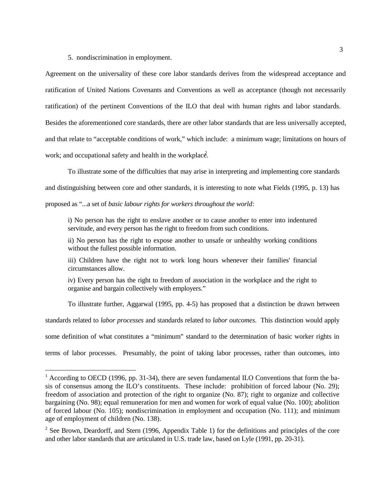#### 5. nondiscrimination in employment.

 $\overline{a}$ 

Agreement on the universality of these core labor standards derives from the widespread acceptance and ratification of United Nations Covenants and Conventions as well as acceptance (though not necessarily ratification) of the pertinent Conventions of the ILO that deal with human rights and labor standards. <sup>1</sup> Besides the aforementioned core standards, there are other labor standards that are less universally accepted, and that relate to "acceptable conditions of work," which include: a minimum wage; limitations on hours of work; and occupational safety and health in the workplace.

To illustrate some of the difficulties that may arise in interpreting and implementing core standards

and distinguishing between core and other standards, it is interesting to note what Fields (1995, p. 13) has

proposed as "...a set of *basic labour rights for workers throughout the world*:

i) No person has the right to enslave another or to cause another to enter into indentured servitude, and every person has the right to freedom from such conditions.

ii) No person has the right to expose another to unsafe or unhealthy working conditions without the fullest possible information.

iii) Children have the right not to work long hours whenever their families' financial circumstances allow.

iv) Every person has the right to freedom of association in the workplace and the right to organise and bargain collectively with employers."

To illustrate further, Aggarwal (1995, pp. 4-5) has proposed that a distinction be drawn between

standards related to *labor processes* and standards related to *labor outcomes*. This distinction would apply

some definition of what constitutes a "minimum" standard to the determination of basic worker rights in

terms of labor processes. Presumably, the point of taking labor processes, rather than outcomes, into

<sup>&</sup>lt;sup>1</sup> According to OECD (1996, pp. 31-34), there are seven fundamental ILO Conventions that form the basis of consensus among the ILO's constituents. These include: prohibition of forced labour (No. 29); freedom of association and protection of the right to organize (No. 87); right to organize and collective bargaining (No. 98); equal remuneration for men and women for work of equal value (No. 100); abolition of forced labour (No. 105); nondiscrimination in employment and occupation (No. 111); and minimum age of employment of children (No. 138).

<sup>&</sup>lt;sup>2</sup> See Brown, Deardorff, and Stern (1996, Appendix Table 1) for the definitions and principles of the core and other labor standards that are articulated in U.S. trade law, based on Lyle (1991, pp. 20-31).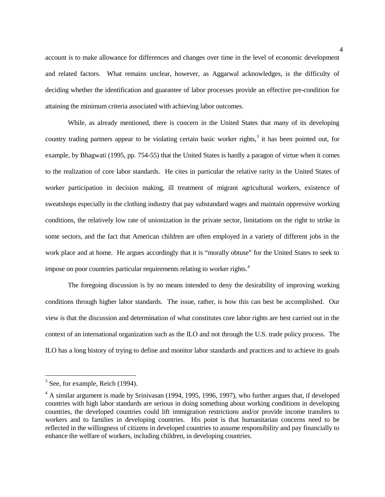account is to make allowance for differences and changes over time in the level of economic development and related factors. What remains unclear, however, as Aggarwal acknowledges, is the difficulty of deciding whether the identification and guarantee of labor processes provide an effective pre-condition for attaining the minimum criteria associated with achieving labor outcomes.

While, as already mentioned, there is concern in the United States that many of its developing country trading partners appear to be violating certain basic worker rights,<sup>3</sup> it has been pointed out, for example, by Bhagwati (1995, pp. 754-55) that the United States is hardly a paragon of virtue when it comes to the realization of core labor standards. He cites in particular the relative rarity in the United States of worker participation in decision making, ill treatment of migrant agricultural workers, existence of sweatshops especially in the clothing industry that pay substandard wages and maintain oppressive working conditions, the relatively low rate of unionization in the private sector, limitations on the right to strike in some sectors, and the fact that American children are often employed in a variety of different jobs in the work place and at home. He argues accordingly that it is "morally obtuse" for the United States to seek to impose on poor countries particular requirements relating to worker rights.<sup>4</sup>

The foregoing discussion is by no means intended to deny the desirability of improving working conditions through higher labor standards. The issue, rather, is how this can best be accomplished. Our view is that the discussion and determination of what constitutes core labor rights are best carried out in the context of an international organization such as the ILO and not through the U.S. trade policy process. The ILO has a long history of trying to define and monitor labor standards and practices and to achieve its goals

<sup>&</sup>lt;sup>3</sup> See, for example, Reich (1994).

<sup>&</sup>lt;sup>4</sup> A similar argument is made by Srinivasan (1994, 1995, 1996, 1997), who further argues that, if developed countries with high labor standards are serious in doing something about working conditions in developing countries, the developed countries could lift immigration restrictions and/or provide income transfers to workers and to families in developing countries. His point is that humanitarian concerns need to be reflected in the willingness of citizens in developed countries to assume responsibility and pay financially to enhance the welfare of workers, including children, in developing countries.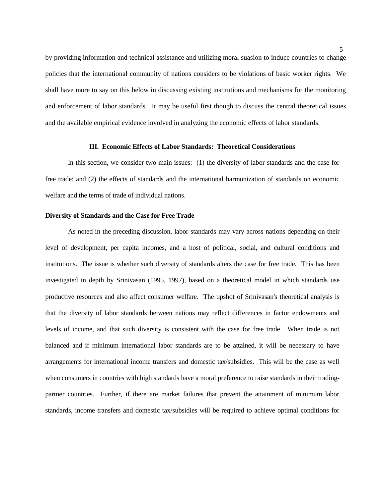by providing information and technical assistance and utilizing moral suasion to induce countries to change policies that the international community of nations considers to be violations of basic worker rights. We shall have more to say on this below in discussing existing institutions and mechanisms for the monitoring and enforcement of labor standards. It may be useful first though to discuss the central theoretical issues and the available empirical evidence involved in analyzing the economic effects of labor standards.

#### **III. Economic Effects of Labor Standards: Theoretical Considerations**

In this section, we consider two main issues: (1) the diversity of labor standards and the case for free trade; and (2) the effects of standards and the international harmonization of standards on economic welfare and the terms of trade of individual nations.

### **Diversity of Standards and the Case for Free Trade**

As noted in the preceding discussion, labor standards may vary across nations depending on their level of development, per capita incomes, and a host of political, social, and cultural conditions and institutions. The issue is whether such diversity of standards alters the case for free trade. This has been investigated in depth by Srinivasan (1995, 1997), based on a theoretical model in which standards use productive resources and also affect consumer welfare. The upshot of Srinivasan's theoretical analysis is that the diversity of labor standards between nations may reflect differences in factor endowments and levels of income, and that such diversity is consistent with the case for free trade. When trade is not balanced and if minimum international labor standards are to be attained, it will be necessary to have arrangements for international income transfers and domestic tax/subsidies. This will be the case as well when consumers in countries with high standards have a moral preference to raise standards in their tradingpartner countries. Further, if there are market failures that prevent the attainment of minimum labor standards, income transfers and domestic tax/subsidies will be required to achieve optimal conditions for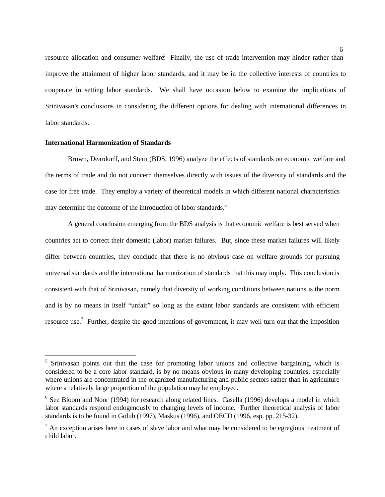resource allocation and consumer welfare<sup>5</sup>. Finally, the use of trade intervention may hinder rather than improve the attainment of higher labor standards, and it may be in the collective interests of countries to cooperate in setting labor standards. We shall have occasion below to examine the implications of Srinivasan's conclusions in considering the different options for dealing with international differences in labor standards.

## **International Harmonization of Standards**

 $\overline{a}$ 

Brown, Deardorff, and Stern (BDS, 1996) analyze the effects of standards on economic welfare and the terms of trade and do not concern themselves directly with issues of the diversity of standards and the case for free trade. They employ a variety of theoretical models in which different national characteristics may determine the outcome of the introduction of labor standards.<sup>6</sup>

A general conclusion emerging from the BDS analysis is that economic welfare is best served when countries act to correct their domestic (labor) market failures. But, since these market failures will likely differ between countries, they conclude that there is no obvious case on welfare grounds for pursuing universal standards and the international harmonization of standards that this may imply. This conclusion is consistent with that of Srinivasan, namely that diversity of working conditions between nations is the norm and is by no means in itself "unfair" so long as the extant labor standards are consistent with efficient resource use.<sup>7</sup> Further, despite the good intentions of government, it may well turn out that the imposition

<sup>&</sup>lt;sup>5</sup> Srinivasan points out that the case for promoting labor unions and collective bargaining, which is considered to be a core labor standard, is by no means obvious in many developing countries, especially where unions are concentrated in the organized manufacturing and public sectors rather than in agriculture where a relatively large proportion of the population may be employed.

<sup>&</sup>lt;sup>6</sup> See Bloom and Noor (1994) for research along related lines. Casella (1996) develops a model in which labor standards respond endogenously to changing levels of income. Further theoretical analysis of labor standards is to be found in Golub (1997), Maskus (1996), and OECD (1996, esp. pp. 215-32).

 $<sup>7</sup>$  An exception arises here in cases of slave labor and what may be considered to be egregious treatment of</sup> child labor.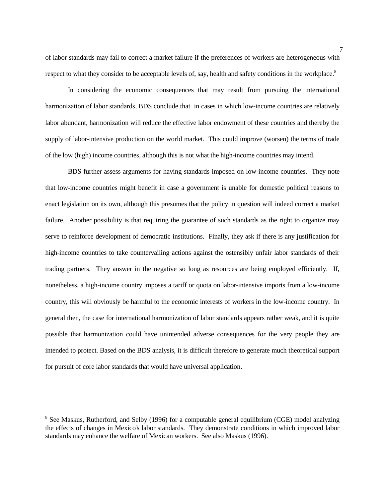of labor standards may fail to correct a market failure if the preferences of workers are heterogeneous with respect to what they consider to be acceptable levels of, say, health and safety conditions in the workplace.<sup>8</sup>

In considering the economic consequences that may result from pursuing the international harmonization of labor standards, BDS conclude that in cases in which low-income countries are relatively labor abundant, harmonization will reduce the effective labor endowment of these countries and thereby the supply of labor-intensive production on the world market. This could improve (worsen) the terms of trade of the low (high) income countries, although this is not what the high-income countries may intend.

BDS further assess arguments for having standards imposed on low-income countries. They note that low-income countries might benefit in case a government is unable for domestic political reasons to enact legislation on its own, although this presumes that the policy in question will indeed correct a market failure. Another possibility is that requiring the guarantee of such standards as the right to organize may serve to reinforce development of democratic institutions. Finally, they ask if there is any justification for high-income countries to take countervailing actions against the ostensibly unfair labor standards of their trading partners. They answer in the negative so long as resources are being employed efficiently. If, nonetheless, a high-income country imposes a tariff or quota on labor-intensive imports from a low-income country, this will obviously be harmful to the economic interests of workers in the low-income country. In general then, the case for international harmonization of labor standards appears rather weak, and it is quite possible that harmonization could have unintended adverse consequences for the very people they are intended to protect. Based on the BDS analysis, it is difficult therefore to generate much theoretical support for pursuit of core labor standards that would have universal application.

<sup>&</sup>lt;sup>8</sup> See Maskus, Rutherford, and Selby (1996) for a computable general equilibrium (CGE) model analyzing the effects of changes in Mexico's labor standards. They demonstrate conditions in which improved labor standards may enhance the welfare of Mexican workers. See also Maskus (1996).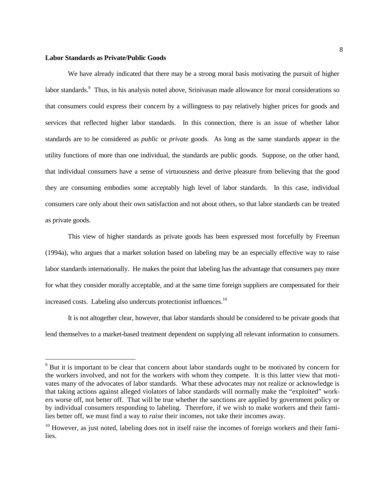#### **Labor Standards as Private/Public Goods**

 $\overline{a}$ 

We have already indicated that there may be a strong moral basis motivating the pursuit of higher labor standards.<sup>9</sup> Thus, in his analysis noted above, Srinivasan made allowance for moral considerations so that consumers could express their concern by a willingness to pay relatively higher prices for goods and services that reflected higher labor standards. In this connection, there is an issue of whether labor standards are to be considered as *public* or *private* goods. As long as the same standards appear in the utility functions of more than one individual, the standards are public goods. Suppose, on the other hand, that individual consumers have a sense of virtuousness and derive pleasure from believing that the good they are consuming embodies some acceptably high level of labor standards. In this case, individual consumers care only about their own satisfaction and not about others, so that labor standards can be treated as private goods.

This view of higher standards as private goods has been expressed most forcefully by Freeman (1994a), who argues that a market solution based on labeling may be an especially effective way to raise labor standards internationally. He makes the point that labeling has the advantage that consumers pay more for what they consider morally acceptable, and at the same time foreign suppliers are compensated for their increased costs. Labeling also undercuts protectionist influences.<sup>10</sup>

It is not altogether clear, however, that labor standards should be considered to be private goods that lend themselves to a market-based treatment dependent on supplying all relevant information to consumers.

<sup>&</sup>lt;sup>9</sup> But it is important to be clear that concern about labor standards ought to be motivated by concern for the workers involved, and not for the workers with whom they compete. It is this latter view that motivates many of the advocates of labor standards. What these advocates may not realize or acknowledge is that taking actions against alleged violators of labor standards will normally make the "exploited" workers worse off, not better off. That will be true whether the sanctions are applied by government policy or by individual consumers responding to labeling. Therefore, if we wish to make workers and their families better off, we must find a way to *raise* their incomes, not take their incomes away.

<sup>&</sup>lt;sup>10</sup> However, as just noted, labeling does not in itself raise the incomes of foreign workers and their families.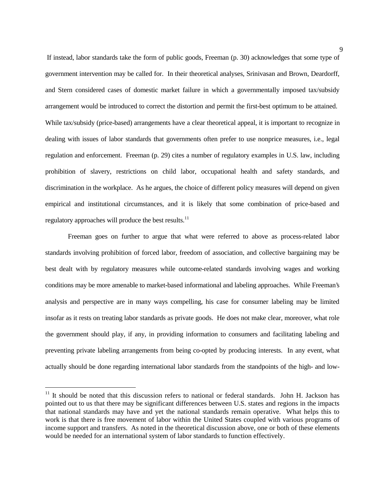If instead, labor standards take the form of public goods, Freeman (p. 30) acknowledges that some type of government intervention may be called for. In their theoretical analyses, Srinivasan and Brown, Deardorff, and Stern considered cases of domestic market failure in which a governmentally imposed tax/subsidy arrangement would be introduced to correct the distortion and permit the first-best optimum to be attained. While tax/subsidy (price-based) arrangements have a clear theoretical appeal, it is important to recognize in dealing with issues of labor standards that governments often prefer to use nonprice measures, i.e., legal regulation and enforcement. Freeman (p. 29) cites a number of regulatory examples in U.S. law, including prohibition of slavery, restrictions on child labor, occupational health and safety standards, and discrimination in the workplace. As he argues, the choice of different policy measures will depend on given empirical and institutional circumstances, and it is likely that some combination of price-based and regulatory approaches will produce the best results.<sup>11</sup>

Freeman goes on further to argue that what were referred to above as process-related labor standards involving prohibition of forced labor, freedom of association, and collective bargaining may be best dealt with by regulatory measures while outcome-related standards involving wages and working conditions may be more amenable to market-based informational and labeling approaches. While Freeman's analysis and perspective are in many ways compelling, his case for consumer labeling may be limited insofar as it rests on treating labor standards as private goods. He does not make clear, moreover, what role the government should play, if any, in providing information to consumers and facilitating labeling and preventing private labeling arrangements from being co-opted by producing interests. In any event, what actually should be done regarding international labor standards from the standpoints of the high- and low-

 $11$  It should be noted that this discussion refers to national or federal standards. John H. Jackson has pointed out to us that there may be significant differences between U.S. states and regions in the impacts that national standards may have and yet the national standards remain operative. What helps this to work is that there is free movement of labor within the United States coupled with various programs of income support and transfers. As noted in the theoretical discussion above, one or both of these elements would be needed for an international system of labor standards to function effectively.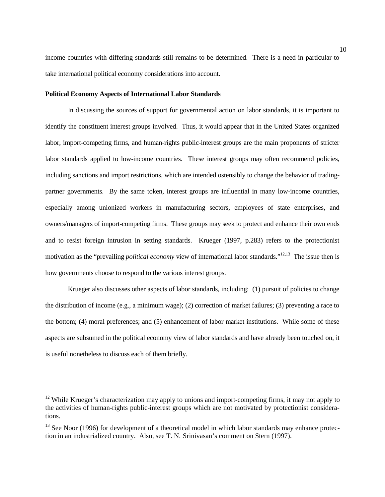income countries with differing standards still remains to be determined. There is a need in particular to take international political economy considerations into account.

## **Political Economy Aspects of International Labor Standards**

 $\overline{a}$ 

In discussing the sources of support for governmental action on labor standards, it is important to identify the constituent interest groups involved. Thus, it would appear that in the United States organized labor, import-competing firms, and human-rights public-interest groups are the main proponents of stricter labor standards applied to low-income countries. These interest groups may often recommend policies, including sanctions and import restrictions, which are intended ostensibly to change the behavior of tradingpartner governments. By the same token, interest groups are influential in many low-income countries, especially among unionized workers in manufacturing sectors, employees of state enterprises, and owners/managers of import-competing firms. These groups may seek to protect and enhance their own ends and to resist foreign intrusion in setting standards. Krueger (1997, p.283) refers to the protectionist motivation as the "prevailing *political economy* view of international labor standards."<sup>12,13</sup> The issue then is how governments choose to respond to the various interest groups.

Krueger also discusses other aspects of labor standards, including: (1) pursuit of policies to change the distribution of income (e.g., a minimum wage); (2) correction of market failures; (3) preventing a race to the bottom; (4) moral preferences; and (5) enhancement of labor market institutions. While some of these aspects are subsumed in the political economy view of labor standards and have already been touched on, it is useful nonetheless to discuss each of them briefly.

 $12$  While Krueger's characterization may apply to unions and import-competing firms, it may not apply to the activities of human-rights public-interest groups which are not motivated by protectionist considerations.

 $13$  See Noor (1996) for development of a theoretical model in which labor standards may enhance protection in an industrialized country. Also, see T. N. Srinivasan's comment on Stern (1997).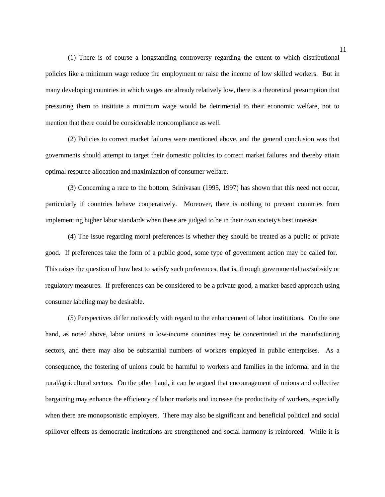(1) There is of course a longstanding controversy regarding the extent to which distributional policies like a minimum wage reduce the employment or raise the income of low skilled workers. But in many developing countries in which wages are already relatively low, there is a theoretical presumption that pressuring them to institute a minimum wage would be detrimental to their economic welfare, not to mention that there could be considerable noncompliance as well.

(2) Policies to correct market failures were mentioned above, and the general conclusion was that governments should attempt to target their domestic policies to correct market failures and thereby attain optimal resource allocation and maximization of consumer welfare.

(3) Concerning a race to the bottom, Srinivasan (1995, 1997) has shown that this need not occur, particularly if countries behave cooperatively. Moreover, there is nothing to prevent countries from implementing higher labor standards when these are judged to be in their own society's best interests.

(4) The issue regarding moral preferences is whether they should be treated as a public or private good. If preferences take the form of a public good, some type of government action may be called for. This raises the question of how best to satisfy such preferences, that is, through governmental tax/subsidy or regulatory measures. If preferences can be considered to be a private good, a market-based approach using consumer labeling may be desirable.

(5) Perspectives differ noticeably with regard to the enhancement of labor institutions. On the one hand, as noted above, labor unions in low-income countries may be concentrated in the manufacturing sectors, and there may also be substantial numbers of workers employed in public enterprises. As a consequence, the fostering of unions could be harmful to workers and families in the informal and in the rural/agricultural sectors. On the other hand, it can be argued that encouragement of unions and collective bargaining may enhance the efficiency of labor markets and increase the productivity of workers, especially when there are monopsonistic employers. There may also be significant and beneficial political and social spillover effects as democratic institutions are strengthened and social harmony is reinforced. While it is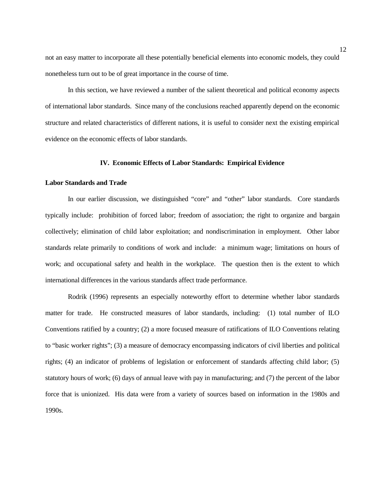not an easy matter to incorporate all these potentially beneficial elements into economic models, they could nonetheless turn out to be of great importance in the course of time.

In this section, we have reviewed a number of the salient theoretical and political economy aspects of international labor standards. Since many of the conclusions reached apparently depend on the economic structure and related characteristics of different nations, it is useful to consider next the existing empirical evidence on the economic effects of labor standards.

## **IV. Economic Effects of Labor Standards: Empirical Evidence**

## **Labor Standards and Trade**

In our earlier discussion, we distinguished "core" and "other" labor standards. Core standards typically include: prohibition of forced labor; freedom of association; the right to organize and bargain collectively; elimination of child labor exploitation; and nondiscrimination in employment. Other labor standards relate primarily to conditions of work and include: a minimum wage; limitations on hours of work; and occupational safety and health in the workplace. The question then is the extent to which international differences in the various standards affect trade performance.

Rodrik (1996) represents an especially noteworthy effort to determine whether labor standards matter for trade. He constructed measures of labor standards, including: (1) total number of ILO Conventions ratified by a country; (2) a more focused measure of ratifications of ILO Conventions relating to "basic worker rights"; (3) a measure of democracy encompassing indicators of civil liberties and political rights; (4) an indicator of problems of legislation or enforcement of standards affecting child labor; (5) statutory hours of work; (6) days of annual leave with pay in manufacturing; and (7) the percent of the labor force that is unionized. His data were from a variety of sources based on information in the 1980s and 1990s.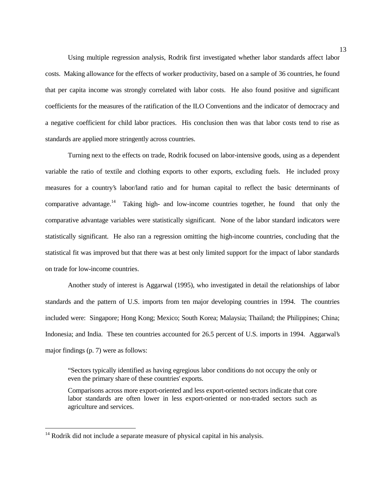Using multiple regression analysis, Rodrik first investigated whether labor standards affect labor costs. Making allowance for the effects of worker productivity, based on a sample of 36 countries, he found that per capita income was strongly correlated with labor costs. He also found positive and significant coefficients for the measures of the ratification of the ILO Conventions and the indicator of democracy and a negative coefficient for child labor practices. His conclusion then was that labor costs tend to rise as standards are applied more stringently across countries.

Turning next to the effects on trade, Rodrik focused on labor-intensive goods, using as a dependent variable the ratio of textile and clothing exports to other exports, excluding fuels. He included proxy measures for a country's labor/land ratio and for human capital to reflect the basic determinants of comparative advantage. $14$  Taking high- and low-income countries together, he found that only the comparative advantage variables were statistically significant. None of the labor standard indicators were statistically significant. He also ran a regression omitting the high-income countries, concluding that the statistical fit was improved but that there was at best only limited support for the impact of labor standards on trade for low-income countries.

Another study of interest is Aggarwal (1995), who investigated in detail the relationships of labor standards and the pattern of U.S. imports from ten major developing countries in 1994. The countries included were: Singapore; Hong Kong; Mexico; South Korea; Malaysia; Thailand; the Philippines; China; Indonesia; and India. These ten countries accounted for 26.5 percent of U.S. imports in 1994. Aggarwal's major findings (p. 7) were as follows:

"Sectors typically identified as having egregious labor conditions do not occupy the only or even the primary share of these countries' exports.

Comparisons across more export-oriented and less export-oriented sectors indicate that core labor standards are often lower in less export-oriented or non-traded sectors such as agriculture and services.

 $14$  Rodrik did not include a separate measure of physical capital in his analysis.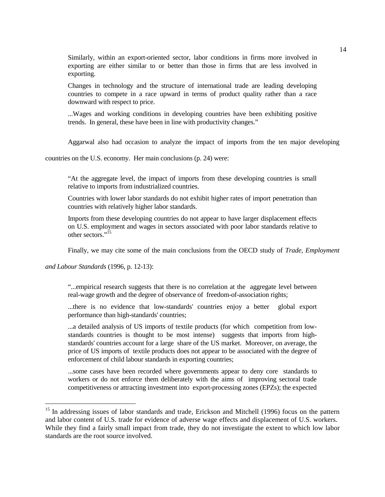Similarly, within an export-oriented sector, labor conditions in firms more involved in exporting are either similar to or better than those in firms that are less involved in exporting.

Changes in technology and the structure of international trade are leading developing countries to compete in a race upward in terms of product quality rather than a race downward with respect to price.

...Wages and working conditions in developing countries have been exhibiting positive trends. In general, these have been in line with productivity changes."

Aggarwal also had occasion to analyze the impact of imports from the ten major developing

countries on the U.S. economy. Her main conclusions (p. 24) were:

"At the aggregate level, the impact of imports from these developing countries is small relative to imports from industrialized countries.

Countries with lower labor standards do not exhibit higher rates of import penetration than countries with relatively higher labor standards.

Imports from these developing countries do not appear to have larger displacement effects on U.S. employment and wages in sectors associated with poor labor standards relative to other sectors."<sup>15</sup>

Finally, we may cite some of the main conclusions from the OECD study of *Trade, Employment*

*and Labour Standards* (1996, p. 12-13):

 $\overline{a}$ 

"...empirical research suggests that there is no correlation at the aggregate level between real-wage growth and the degree of observance of freedom-of-association rights;

...there is no evidence that low-standards' countries enjoy a better global export performance than high-standards' countries;

...a detailed analysis of US imports of textile products (for which competition from lowstandards countries is thought to be most intense) suggests that imports from highstandards' countries account for a large share of the US market. Moreover, on average, the price of US imports of textile products does not appear to be associated with the degree of enforcement of child labour standards in exporting countries;

...some cases have been recorded where governments appear to deny core standards to workers or do not enforce them deliberately with the aims of improving sectoral trade competitiveness or attracting investment into export-processing zones (EPZs); the expected

<sup>&</sup>lt;sup>15</sup> In addressing issues of labor standards and trade, Erickson and Mitchell (1996) focus on the pattern and labor content of U.S. trade for evidence of adverse wage effects and displacement of U.S. workers. While they find a fairly small impact from trade, they do not investigate the extent to which low labor standards are the root source involved.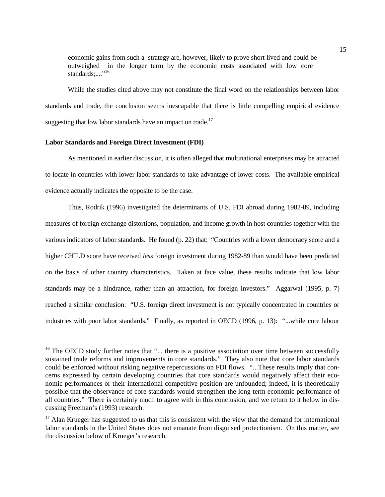economic gains from such a strategy are, however, likely to prove short lived and could be outweighed in the longer term by the economic costs associated with low core  $standards: \dots$ <sup>16</sup>

While the studies cited above may not constitute the final word on the relationships between labor standards and trade, the conclusion seems inescapable that there is little compelling empirical evidence suggesting that low labor standards have an impact on trade.<sup>17</sup>

#### **Labor Standards and Foreign Direct Investment (FDI)**

 $\overline{a}$ 

As mentioned in earlier discussion, it is often alleged that multinational enterprises may be attracted to locate in countries with lower labor standards to take advantage of lower costs. The available empirical evidence actually indicates the opposite to be the case.

Thus, Rodrik (1996) investigated the determinants of U.S. FDI abroad during 1982-89, including measures of foreign exchange distortions, population, and income growth in host countries together with the various indicators of labor standards. He found (p. 22) that: "Countries with a lower democracy score and a higher CHILD score have received *less* foreign investment during 1982-89 than would have been predicted on the basis of other country characteristics. Taken at face value, these results indicate that low labor standards may be a hindrance, rather than an attraction, for foreign investors." Aggarwal (1995, p. 7) reached a similar conclusion: "U.S. foreign direct investment is not typically concentrated in countries or industries with poor labor standards." Finally, as reported in OECD (1996, p. 13): "...while core labour

<sup>&</sup>lt;sup>16</sup> The OECD study further notes that "... there is a positive association over time between successfully sustained trade reforms and improvements in core standards." They also note that core labor standards could be enforced without risking negative repercussions on FDI flows. "...These results imply that concerns expressed by certain developing countries that core standards would negatively affect their economic performances or their international competitive position are unfounded; indeed, it is theoretically possible that the observance of core standards would strengthen the long-term economic performance of all countries." There is certainly much to agree with in this conclusion, and we return to it below in discussing Freeman's (1993) research.

 $17$  Alan Krueger has suggested to us that this is consistent with the view that the demand for international labor standards in the United States does not emanate from disguised protectionism. On this matter, see the discussion below of Krueger's research.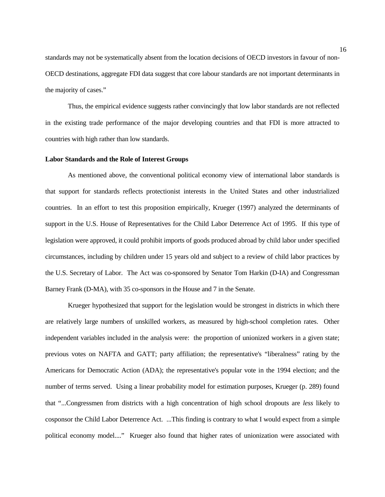standards may not be systematically absent from the location decisions of OECD investors in favour of non-OECD destinations, aggregate FDI data suggest that core labour standards are not important determinants in the majority of cases."

Thus, the empirical evidence suggests rather convincingly that low labor standards are not reflected in the existing trade performance of the major developing countries and that FDI is more attracted to countries with high rather than low standards.

#### **Labor Standards and the Role of Interest Groups**

As mentioned above, the conventional political economy view of international labor standards is that support for standards reflects protectionist interests in the United States and other industrialized countries. In an effort to test this proposition empirically, Krueger (1997) analyzed the determinants of support in the U.S. House of Representatives for the Child Labor Deterrence Act of 1995. If this type of legislation were approved, it could prohibit imports of goods produced abroad by child labor under specified circumstances, including by children under 15 years old and subject to a review of child labor practices by the U.S. Secretary of Labor. The Act was co-sponsored by Senator Tom Harkin (D-IA) and Congressman Barney Frank (D-MA), with 35 co-sponsors in the House and 7 in the Senate.

Krueger hypothesized that support for the legislation would be strongest in districts in which there are relatively large numbers of unskilled workers, as measured by high-school completion rates. Other independent variables included in the analysis were: the proportion of unionized workers in a given state; previous votes on NAFTA and GATT; party affiliation; the representative's "liberalness" rating by the Americans for Democratic Action (ADA); the representative's popular vote in the 1994 election; and the number of terms served. Using a linear probability model for estimation purposes, Krueger (p. 289) found that "...Congressmen from districts with a high concentration of high school dropouts are *less* likely to cosponsor the Child Labor Deterrence Act. ...This finding is contrary to what I would expect from a simple political economy model...." Krueger also found that higher rates of unionization were associated with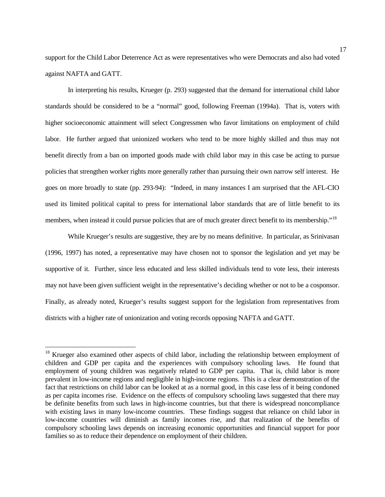support for the Child Labor Deterrence Act as were representatives who were Democrats and also had voted against NAFTA and GATT.

In interpreting his results, Krueger (p. 293) suggested that the demand for international child labor standards should be considered to be a "normal" good, following Freeman (1994a). That is, voters with higher socioeconomic attainment will select Congressmen who favor limitations on employment of child labor. He further argued that unionized workers who tend to be more highly skilled and thus may not benefit directly from a ban on imported goods made with child labor may in this case be acting to pursue policies that strengthen worker rights more generally rather than pursuing their own narrow self interest. He goes on more broadly to state (pp. 293-94): "Indeed, in many instances I am surprised that the AFL-CIO used its limited political capital to press for international labor standards that are of little benefit to its members, when instead it could pursue policies that are of much greater direct benefit to its membership."<sup>18</sup>

While Krueger's results are suggestive, they are by no means definitive. In particular, as Srinivasan (1996, 1997) has noted, a representative may have chosen not to sponsor the legislation and yet may be supportive of it. Further, since less educated and less skilled individuals tend to vote less, their interests may not have been given sufficient weight in the representative's deciding whether or not to be a cosponsor. Finally, as already noted, Krueger's results suggest support for the legislation from representatives from districts with a higher rate of unionization and voting records opposing NAFTA and GATT.

<sup>&</sup>lt;sup>18</sup> Krueger also examined other aspects of child labor, including the relationship between employment of children and GDP per capita and the experiences with compulsory schooling laws. He found that employment of young children was negatively related to GDP per capita. That is, child labor is more prevalent in low-income regions and negligible in high-income regions. This is a clear demonstration of the fact that restrictions on child labor can be looked at as a normal good, in this case less of it being condoned as per capita incomes rise. Evidence on the effects of compulsory schooling laws suggested that there may be definite benefits from such laws in high-income countries, but that there is widespread noncompliance with existing laws in many low-income countries. These findings suggest that reliance on child labor in low-income countries will diminish as family incomes rise, and that realization of the benefits of compulsory schooling laws depends on increasing economic opportunities and financial support for poor families so as to reduce their dependence on employment of their children.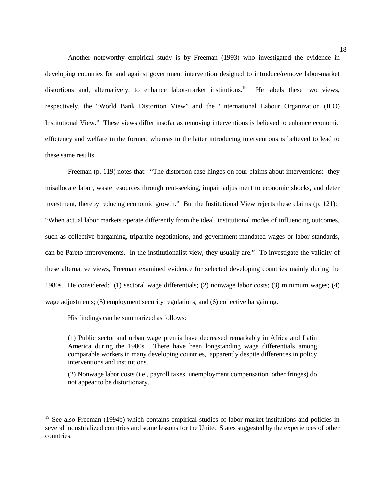Another noteworthy empirical study is by Freeman (1993) who investigated the evidence in developing countries for and against government intervention designed to introduce/remove labor-market distortions and, alternatively, to enhance labor-market institutions.<sup>19</sup> He labels these two views, respectively, the "World Bank Distortion View" and the "International Labour Organization (ILO) Institutional View." These views differ insofar as removing interventions is believed to enhance economic efficiency and welfare in the former, whereas in the latter introducing interventions is believed to lead to these same results.

Freeman (p. 119) notes that: "The distortion case hinges on four claims about interventions: they misallocate labor, waste resources through rent-seeking, impair adjustment to economic shocks, and deter investment, thereby reducing economic growth." But the Institutional View rejects these claims (p. 121): "When actual labor markets operate differently from the ideal, institutional modes of influencing outcomes, such as collective bargaining, tripartite negotiations, and government-mandated wages or labor standards, can be Pareto improvements. In the institutionalist view, they usually are." To investigate the validity of these alternative views, Freeman examined evidence for selected developing countries mainly during the 1980s. He considered: (1) sectoral wage differentials; (2) nonwage labor costs; (3) minimum wages; (4) wage adjustments; (5) employment security regulations; and (6) collective bargaining.

His findings can be summarized as follows:

 $\overline{a}$ 

(1) Public sector and urban wage premia have decreased remarkably in Africa and Latin America during the 1980s. There have been longstanding wage differentials among comparable workers in many developing countries, apparently despite differences in policy interventions and institutions.

(2) Nonwage labor costs (i.e., payroll taxes, unemployment compensation, other fringes) do not appear to be distortionary.

<sup>&</sup>lt;sup>19</sup> See also Freeman (1994b) which contains empirical studies of labor-market institutions and policies in several industrialized countries and some lessons for the United States suggested by the experiences of other countries.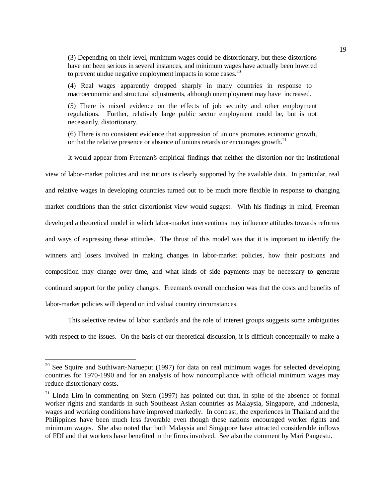(3) Depending on their level, minimum wages could be distortionary, but these distortions have not been serious in several instances, and minimum wages have actually been lowered to prevent undue negative employment impacts in some cases.  $20$ 

(4) Real wages apparently dropped sharply in many countries in response to macroeconomic and structural adjustments, although unemployment may have increased.

(5) There is mixed evidence on the effects of job security and other employment regulations. Further, relatively large public sector employment could be, but is not necessarily, distortionary.

(6) There is no consistent evidence that suppression of unions promotes economic growth, or that the relative presence or absence of unions retards or encourages growth.<sup>21</sup>

It would appear from Freeman's empirical findings that neither the distortion nor the institutional

view of labor-market policies and institutions is clearly supported by the available data. In particular, real and relative wages in developing countries turned out to be much more flexible in response to changing market conditions than the strict distortionist view would suggest. With his findings in mind, Freeman developed a theoretical model in which labor-market interventions may influence attitudes towards reforms and ways of expressing these attitudes. The thrust of this model was that it is important to identify the winners and losers involved in making changes in labor-market policies, how their positions and composition may change over time, and what kinds of side payments may be necessary to generate continued support for the policy changes. Freeman's overall conclusion was that the costs and benefits of labor-market policies will depend on individual country circumstances.

This selective review of labor standards and the role of interest groups suggests some ambiguities with respect to the issues. On the basis of our theoretical discussion, it is difficult conceptually to make a

 $20$  See Squire and Suthiwart-Narueput (1997) for data on real minimum wages for selected developing countries for 1970-1990 and for an analysis of how noncompliance with official minimum wages may reduce distortionary costs.

 $21$  Linda Lim in commenting on Stern (1997) has pointed out that, in spite of the absence of formal worker rights and standards in such Southeast Asian countries as Malaysia, Singapore, and Indonesia, wages and working conditions have improved markedly. In contrast, the experiences in Thailand and the Philippines have been much less favorable even though these nations encouraged worker rights and minimum wages. She also noted that both Malaysia and Singapore have attracted considerable inflows of FDI and that workers have benefited in the firms involved. See also the comment by Mari Pangestu.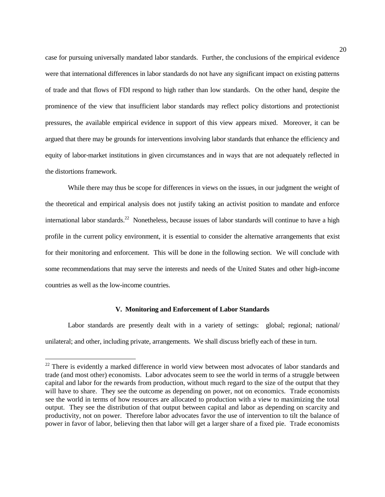case for pursuing universally mandated labor standards. Further, the conclusions of the empirical evidence were that international differences in labor standards do not have any significant impact on existing patterns of trade and that flows of FDI respond to high rather than low standards. On the other hand, despite the prominence of the view that insufficient labor standards may reflect policy distortions and protectionist pressures, the available empirical evidence in support of this view appears mixed. Moreover, it can be argued that there may be grounds for interventions involving labor standards that enhance the efficiency and equity of labor-market institutions in given circumstances and in ways that are not adequately reflected in the distortions framework.

While there may thus be scope for differences in views on the issues, in our judgment the weight of the theoretical and empirical analysis does not justify taking an activist position to mandate and enforce international labor standards.<sup>22</sup> Nonetheless, because issues of labor standards will continue to have a high profile in the current policy environment, it is essential to consider the alternative arrangements that exist for their monitoring and enforcement. This will be done in the following section. We will conclude with some recommendations that may serve the interests and needs of the United States and other high-income countries as well as the low-income countries.

#### **V. Monitoring and Enforcement of Labor Standards**

Labor standards are presently dealt with in a variety of settings: global; regional; national/ unilateral; and other, including private, arrangements. We shall discuss briefly each of these in turn.

 $22$  There is evidently a marked difference in world view between most advocates of labor standards and trade (and most other) economists. Labor advocates seem to see the world in terms of a struggle between capital and labor for the rewards from production, without much regard to the size of the output that they will have to share. They see the outcome as depending on power, not on economics. Trade economists see the world in terms of how resources are allocated to production with a view to maximizing the total output. They see the distribution of that output between capital and labor as depending on scarcity and productivity, not on power. Therefore labor advocates favor the use of intervention to tilt the balance of power in favor of labor, believing then that labor will get a larger share of a fixed pie. Trade economists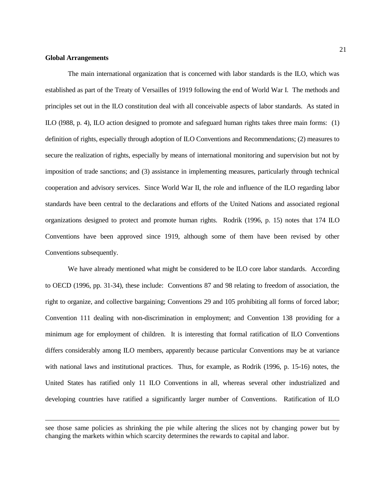#### **Global Arrangements**

 $\overline{a}$ 

The main international organization that is concerned with labor standards is the ILO, which was established as part of the Treaty of Versailles of 1919 following the end of World War I. The methods and principles set out in the ILO constitution deal with all conceivable aspects of labor standards. As stated in ILO (l988, p. 4), ILO action designed to promote and safeguard human rights takes three main forms: (1) definition of rights, especially through adoption of ILO Conventions and Recommendations; (2) measures to secure the realization of rights, especially by means of international monitoring and supervision but not by imposition of trade sanctions; and (3) assistance in implementing measures, particularly through technical cooperation and advisory services. Since World War II, the role and influence of the ILO regarding labor standards have been central to the declarations and efforts of the United Nations and associated regional organizations designed to protect and promote human rights. Rodrik (1996, p. 15) notes that 174 ILO Conventions have been approved since 1919, although some of them have been revised by other Conventions subsequently.

We have already mentioned what might be considered to be ILO core labor standards. According to OECD (1996, pp. 31-34), these include: Conventions 87 and 98 relating to freedom of association, the right to organize, and collective bargaining; Conventions 29 and 105 prohibiting all forms of forced labor; Convention 111 dealing with non-discrimination in employment; and Convention 138 providing for a minimum age for employment of children. It is interesting that formal ratification of ILO Conventions differs considerably among ILO members, apparently because particular Conventions may be at variance with national laws and institutional practices. Thus, for example, as Rodrik (1996, p. 15-16) notes, the United States has ratified only 11 ILO Conventions in all, whereas several other industrialized and developing countries have ratified a significantly larger number of Conventions. Ratification of ILO

see those same policies as shrinking the pie while altering the slices not by changing power but by changing the markets within which scarcity determines the rewards to capital and labor.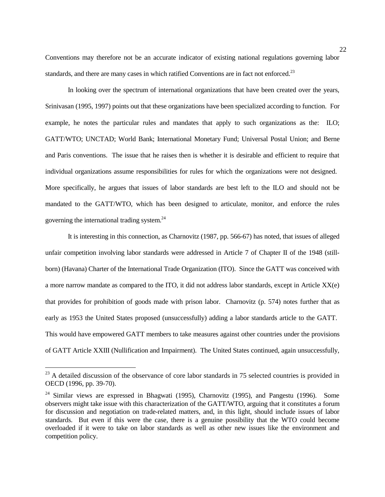Conventions may therefore not be an accurate indicator of existing national regulations governing labor standards, and there are many cases in which ratified Conventions are in fact not enforced.<sup>23</sup>

In looking over the spectrum of international organizations that have been created over the years, Srinivasan (1995, 1997) points out that these organizations have been specialized according to function. For example, he notes the particular rules and mandates that apply to such organizations as the: ILO; GATT/WTO; UNCTAD; World Bank; International Monetary Fund; Universal Postal Union; and Berne and Paris conventions. The issue that he raises then is whether it is desirable and efficient to require that individual organizations assume responsibilities for rules for which the organizations were not designed. More specifically, he argues that issues of labor standards are best left to the ILO and should not be mandated to the GATT/WTO, which has been designed to articulate, monitor, and enforce the rules governing the international trading system.24

It is interesting in this connection, as Charnovitz (1987, pp. 566-67) has noted, that issues of alleged unfair competition involving labor standards were addressed in Article 7 of Chapter II of the 1948 (stillborn) (Havana) Charter of the International Trade Organization (ITO). Since the GATT was conceived with a more narrow mandate as compared to the ITO, it did not address labor standards, except in Article XX(e) that provides for prohibition of goods made with prison labor. Charnovitz (p. 574) notes further that as early as 1953 the United States proposed (unsuccessfully) adding a labor standards article to the GATT. This would have empowered GATT members to take measures against other countries under the provisions of GATT Article XXIII (Nullification and Impairment). The United States continued, again unsuccessfully,

 $^{23}$  A detailed discussion of the observance of core labor standards in 75 selected countries is provided in OECD (1996, pp. 39-70).

<sup>&</sup>lt;sup>24</sup> Similar views are expressed in Bhagwati (1995), Charnovitz (1995), and Pangestu (1996). Some observers might take issue with this characterization of the GATT/WTO, arguing that it constitutes a forum for discussion and negotiation on trade-related matters, and, in this light, should include issues of labor standards. But even if this were the case, there is a genuine possibility that the WTO could become overloaded if it were to take on labor standards as well as other new issues like the environment and competition policy.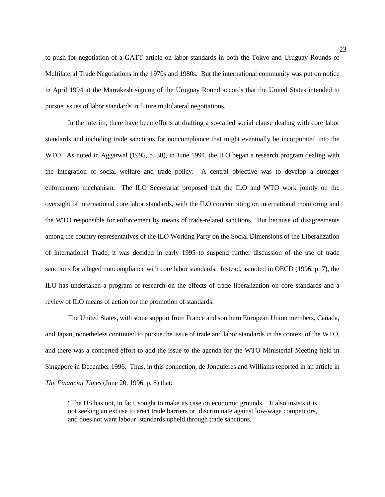to push for negotiation of a GATT article on labor standards in both the Tokyo and Uruguay Rounds of Multilateral Trade Negotiations in the 1970s and 1980s. But the international community was put on notice in April 1994 at the Marrakesh signing of the Uruguay Round accords that the United States intended to pursue issues of labor standards in future multilateral negotiations.

In the interim, there have been efforts at drafting a so-called social clause dealing with core labor standards and including trade sanctions for noncompliance that might eventually be incorporated into the WTO. As noted in Aggarwal (1995, p. 38), in June 1994, the ILO began a research program dealing with the integration of social welfare and trade policy. A central objective was to develop a stronger enforcement mechanism. The ILO Secretariat proposed that the ILO and WTO work jointly on the oversight of international core labor standards, with the ILO concentrating on international monitoring and the WTO responsible for enforcement by means of trade-related sanctions. But because of disagreements among the country representatives of the ILO Working Party on the Social Dimensions of the Liberalization of International Trade, it was decided in early 1995 to suspend further discussion of the use of trade sanctions for alleged noncompliance with core labor standards. Instead, as noted in OECD (1996, p. 7), the ILO has undertaken a program of research on the effects of trade liberalization on core standards and a review of ILO means of action for the promotion of standards.

The United States, with some support from France and southern European Union members, Canada, and Japan, nonetheless continued to pursue the issue of trade and labor standards in the context of the WTO, and there was a concerted effort to add the issue to the agenda for the WTO Ministerial Meeting held in Singapore in December 1996. Thus, in this connection, de Jonquieres and Williams reported in an article in *The Financial Times* (June 20, 1996, p. 8) that:

"The US has not, in fact, sought to make its case on economic grounds. It also insists it is not seeking an excuse to erect trade barriers or discriminate against low-wage competitors, and does not want labour standards upheld through trade sanctions.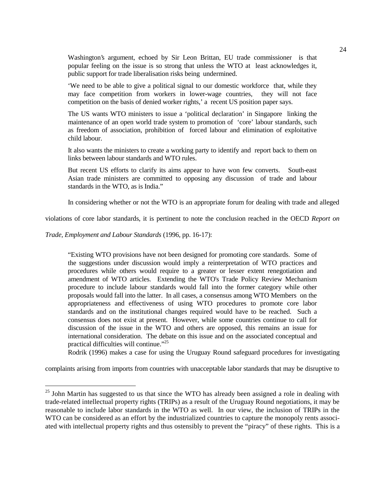Washington's argument, echoed by Sir Leon Brittan, EU trade commissioner is that popular feeling on the issue is so strong that unless the WTO at least acknowledges it, public support for trade liberalisation risks being undermined.

'We need to be able to give a political signal to our domestic workforce that, while they may face competition from workers in lower-wage countries, they will not face competition on the basis of denied worker rights,' a recent US position paper says.

The US wants WTO ministers to issue a 'political declaration' in Singapore linking the maintenance of an open world trade system to promotion of 'core' labour standards, such as freedom of association, prohibition of forced labour and elimination of exploitative child labour.

It also wants the ministers to create a working party to identify and report back to them on links between labour standards and WTO rules.

But recent US efforts to clarify its aims appear to have won few converts. South-east Asian trade ministers are committed to opposing any discussion of trade and labour standards in the WTO, as is India."

In considering whether or not the WTO is an appropriate forum for dealing with trade and alleged

violations of core labor standards, it is pertinent to note the conclusion reached in the OECD *Report on*

*Trade, Employment and Labour Standards* (1996, pp. 16-17):

 $\overline{a}$ 

"Existing WTO provisions have not been designed for promoting core standards. Some of the suggestions under discussion would imply a reinterpretation of WTO practices and procedures while others would require to a greater or lesser extent renegotiation and amendment of WTO articles. Extending the WTO's Trade Policy Review Mechanism procedure to include labour standards would fall into the former category while other proposals would fall into the latter. In all cases, a consensus among WTO Members on the appropriateness and effectiveness of using WTO procedures to promote core labor standards and on the institutional changes required would have to be reached. Such a consensus does not exist at present. However, while some countries continue to call for discussion of the issue in the WTO and others are opposed, this remains an issue for international consideration. The debate on this issue and on the associated conceptual and practical difficulties will continue."25

Rodrik (1996) makes a case for using the Uruguay Round safeguard procedures for investigating

complaints arising from imports from countries with unacceptable labor standards that may be disruptive to

 $^{25}$  John Martin has suggested to us that since the WTO has already been assigned a role in dealing with trade-related intellectual property rights (TRIPs) as a result of the Uruguay Round negotiations, it may be reasonable to include labor standards in the WTO as well. In our view, the inclusion of TRIPs in the WTO can be considered as an effort by the industrialized countries to capture the monopoly rents associated with intellectual property rights and thus ostensibly to prevent the "piracy" of these rights. This is a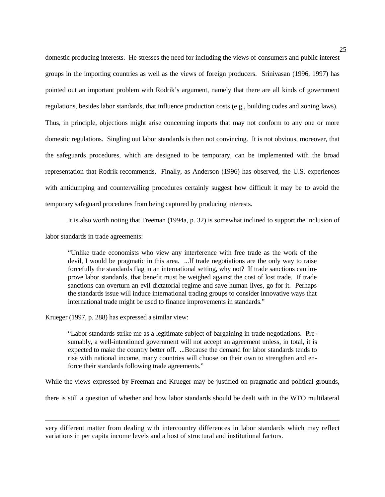domestic producing interests. He stresses the need for including the views of consumers and public interest groups in the importing countries as well as the views of foreign producers. Srinivasan (1996, 1997) has pointed out an important problem with Rodrik's argument, namely that there are all kinds of government regulations, besides labor standards, that influence production costs (e.g., building codes and zoning laws). Thus, in principle, objections might arise concerning imports that may not conform to any one or more domestic regulations. Singling out labor standards is then not convincing. It is not obvious, moreover, that the safeguards procedures, which are designed to be temporary, can be implemented with the broad representation that Rodrik recommends. Finally, as Anderson (1996) has observed, the U.S. experiences with antidumping and countervailing procedures certainly suggest how difficult it may be to avoid the temporary safeguard procedures from being captured by producing interests.

It is also worth noting that Freeman (1994a, p. 32) is somewhat inclined to support the inclusion of

labor standards in trade agreements:

 $\overline{a}$ 

"Unlike trade economists who view any interference with free trade as the work of the devil, I would be pragmatic in this area. ...If trade negotiations are the only way to raise forcefully the standards flag in an international setting, why not? If trade sanctions can improve labor standards, that benefit must be weighed against the cost of lost trade. If trade sanctions can overturn an evil dictatorial regime and save human lives, go for it. Perhaps the standards issue will induce international trading groups to consider innovative ways that international trade might be used to finance improvements in standards."

Krueger (1997, p. 288) has expressed a similar view:

"Labor standards strike me as a legitimate subject of bargaining in trade negotiations. Presumably, a well-intentioned government will not accept an agreement unless, in total, it is expected to make the country better off. ...Because the demand for labor standards tends to rise with national income, many countries will choose on their own to strengthen and enforce their standards following trade agreements."

While the views expressed by Freeman and Krueger may be justified on pragmatic and political grounds,

there is still a question of whether and how labor standards should be dealt with in the WTO multilateral

very different matter from dealing with intercountry differences in labor standards which may reflect variations in per capita income levels and a host of structural and institutional factors.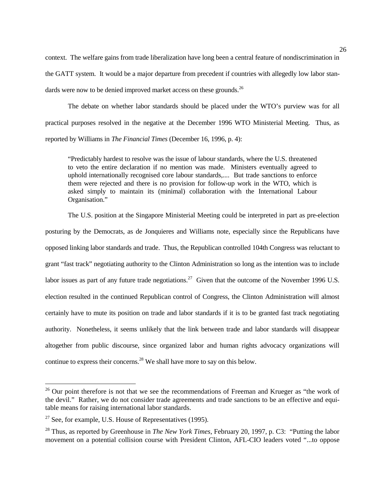context. The welfare gains from trade liberalization have long been a central feature of nondiscrimination in the GATT system. It would be a major departure from precedent if countries with allegedly low labor standards were now to be denied improved market access on these grounds.<sup>26</sup>

The debate on whether labor standards should be placed under the WTO's purview was for all practical purposes resolved in the negative at the December 1996 WTO Ministerial Meeting. Thus, as reported by Williams in *The Financial Times* (December 16, 1996, p. 4):

"Predictably hardest to resolve was the issue of labour standards, where the U.S. threatened to veto the entire declaration if no mention was made. Ministers eventually agreed to uphold internationally recognised core labour standards,.... But trade sanctions to enforce them were rejected and there is no provision for follow-up work in the WTO, which is asked simply to maintain its (minimal) collaboration with the International Labour Organisation."

The U.S. position at the Singapore Ministerial Meeting could be interpreted in part as pre-election posturing by the Democrats, as de Jonquieres and Williams note, especially since the Republicans have opposed linking labor standards and trade. Thus, the Republican controlled 104th Congress was reluctant to grant "fast track" negotiating authority to the Clinton Administration so long as the intention was to include labor issues as part of any future trade negotiations.<sup>27</sup> Given that the outcome of the November 1996 U.S. election resulted in the continued Republican control of Congress, the Clinton Administration will almost certainly have to mute its position on trade and labor standards if it is to be granted fast track negotiating authority. Nonetheless, it seems unlikely that the link between trade and labor standards will disappear altogether from public discourse, since organized labor and human rights advocacy organizations will continue to express their concerns.<sup>28</sup> We shall have more to say on this below.

 $26$  Our point therefore is not that we see the recommendations of Freeman and Krueger as "the work of the devil." Rather, we do not consider trade agreements and trade sanctions to be an effective and equitable means for raising international labor standards.

 $27$  See, for example, U.S. House of Representatives (1995).

<sup>28</sup> Thus, as reported by Greenhouse in *The New York Times*, February 20, 1997, p. C3: "Putting the labor movement on a potential collision course with President Clinton, AFL-CIO leaders voted "...to oppose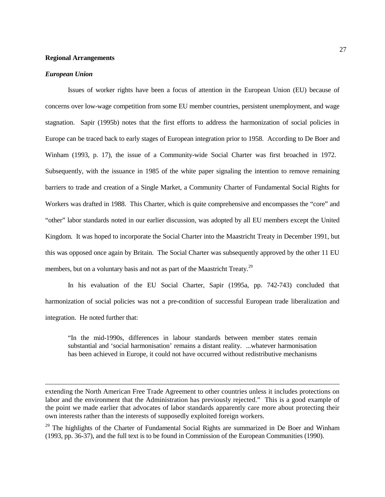### **Regional Arrangements**

#### *European Union*

 $\overline{a}$ 

Issues of worker rights have been a focus of attention in the European Union (EU) because of concerns over low-wage competition from some EU member countries, persistent unemployment, and wage stagnation. Sapir (1995b) notes that the first efforts to address the harmonization of social policies in Europe can be traced back to early stages of European integration prior to 1958. According to De Boer and Winham (1993, p. 17), the issue of a Community-wide Social Charter was first broached in 1972. Subsequently, with the issuance in 1985 of the white paper signaling the intention to remove remaining barriers to trade and creation of a Single Market, a Community Charter of Fundamental Social Rights for Workers was drafted in 1988. This Charter, which is quite comprehensive and encompasses the "core" and "other" labor standards noted in our earlier discussion, was adopted by all EU members except the United Kingdom. It was hoped to incorporate the Social Charter into the Maastricht Treaty in December 1991, but this was opposed once again by Britain. The Social Charter was subsequently approved by the other 11 EU members, but on a voluntary basis and not as part of the Maastricht Treaty.<sup>29</sup>

In his evaluation of the EU Social Charter, Sapir (1995a, pp. 742-743) concluded that harmonization of social policies was not a pre-condition of successful European trade liberalization and integration. He noted further that:

"In the mid-1990s, differences in labour standards between member states remain substantial and 'social harmonisation' remains a distant reality. ...whatever harmonisation has been achieved in Europe, it could not have occurred without redistributive mechanisms

extending the North American Free Trade Agreement to other countries unless it includes protections on labor and the environment that the Administration has previously rejected." This is a good example of the point we made earlier that advocates of labor standards apparently care more about protecting their own interests rather than the interests of supposedly exploited foreign workers.

<sup>&</sup>lt;sup>29</sup> The highlights of the Charter of Fundamental Social Rights are summarized in De Boer and Winham (1993, pp. 36-37), and the full text is to be found in Commission of the European Communities (1990).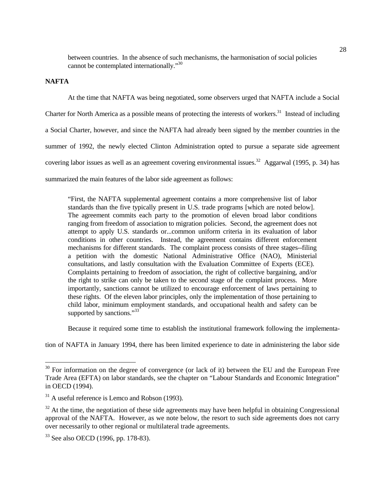between countries. In the absence of such mechanisms, the harmonisation of social policies cannot be contemplated internationally."30

## **NAFTA**

 $\overline{a}$ 

At the time that NAFTA was being negotiated, some observers urged that NAFTA include a Social Charter for North America as a possible means of protecting the interests of workers.<sup>31</sup> Instead of including a Social Charter, however, and since the NAFTA had already been signed by the member countries in the summer of 1992, the newly elected Clinton Administration opted to pursue a separate side agreement covering labor issues as well as an agreement covering environmental issues.<sup>32</sup> Aggarwal (1995, p. 34) has summarized the main features of the labor side agreement as follows:

"First, the NAFTA supplemental agreement contains a more comprehensive list of labor standards than the five typically present in U.S. trade programs [which are noted below]. The agreement commits each party to the promotion of eleven broad labor conditions ranging from freedom of association to migration policies. Second, the agreement does not attempt to apply U.S. standards or...common uniform criteria in its evaluation of labor conditions in other countries. Instead, the agreement contains different enforcement mechanisms for different standards. The complaint process consists of three stages--filing a petition with the domestic National Administrative Office (NAO), Ministerial consultations, and lastly consultation with the Evaluation Committee of Experts (ECE). Complaints pertaining to freedom of association, the right of collective bargaining, and/or the right to strike can only be taken to the second stage of the complaint process. More importantly, sanctions cannot be utilized to encourage enforcement of laws pertaining to these rights. Of the eleven labor principles, only the implementation of those pertaining to child labor, minimum employment standards, and occupational health and safety can be supported by sanctions."<sup>33</sup>

Because it required some time to establish the institutional framework following the implementa-

tion of NAFTA in January 1994, there has been limited experience to date in administering the labor side

 $30$  For information on the degree of convergence (or lack of it) between the EU and the European Free Trade Area (EFTA) on labor standards, see the chapter on "Labour Standards and Economic Integration" in OECD (1994).

 $31$  A useful reference is Lemco and Robson (1993).

 $32$  At the time, the negotiation of these side agreements may have been helpful in obtaining Congressional approval of the NAFTA. However, as we note below, the resort to such side agreements does not carry over necessarily to other regional or multilateral trade agreements.

<sup>&</sup>lt;sup>33</sup> See also OECD (1996, pp. 178-83).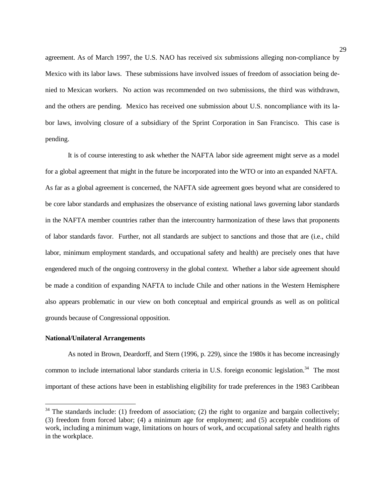agreement. As of March 1997, the U.S. NAO has received six submissions alleging non-compliance by Mexico with its labor laws. These submissions have involved issues of freedom of association being denied to Mexican workers. No action was recommended on two submissions, the third was withdrawn, and the others are pending. Mexico has received one submission about U.S. noncompliance with its labor laws, involving closure of a subsidiary of the Sprint Corporation in San Francisco. This case is pending.

It is of course interesting to ask whether the NAFTA labor side agreement might serve as a model for a global agreement that might in the future be incorporated into the WTO or into an expanded NAFTA. As far as a global agreement is concerned, the NAFTA side agreement goes beyond what are considered to be core labor standards and emphasizes the observance of existing national laws governing labor standards in the NAFTA member countries rather than the intercountry harmonization of these laws that proponents of labor standards favor. Further, not all standards are subject to sanctions and those that are (i.e., child labor, minimum employment standards, and occupational safety and health) are precisely ones that have engendered much of the ongoing controversy in the global context. Whether a labor side agreement should be made a condition of expanding NAFTA to include Chile and other nations in the Western Hemisphere also appears problematic in our view on both conceptual and empirical grounds as well as on political grounds because of Congressional opposition.

#### **National/Unilateral Arrangements**

 $\overline{a}$ 

As noted in Brown, Deardorff, and Stern (1996, p. 229), since the 1980s it has become increasingly common to include international labor standards criteria in U.S. foreign economic legislation.<sup>34</sup> The most important of these actions have been in establishing eligibility for trade preferences in the 1983 Caribbean

 $34$  The standards include: (1) freedom of association; (2) the right to organize and bargain collectively; (3) freedom from forced labor; (4) a minimum age for employment; and (5) acceptable conditions of work, including a minimum wage, limitations on hours of work, and occupational safety and health rights in the workplace.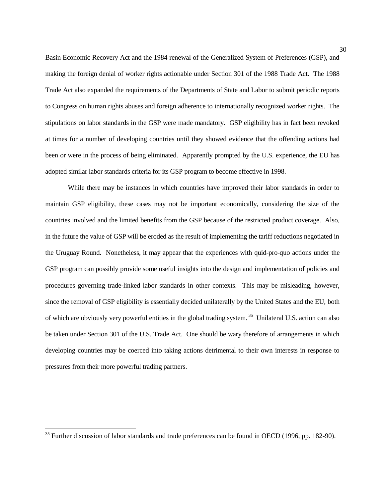Basin Economic Recovery Act and the 1984 renewal of the Generalized System of Preferences (GSP), and making the foreign denial of worker rights actionable under Section 301 of the 1988 Trade Act. The 1988 Trade Act also expanded the requirements of the Departments of State and Labor to submit periodic reports to Congress on human rights abuses and foreign adherence to internationally recognized worker rights. The stipulations on labor standards in the GSP were made mandatory. GSP eligibility has in fact been revoked at times for a number of developing countries until they showed evidence that the offending actions had been or were in the process of being eliminated. Apparently prompted by the U.S. experience, the EU has adopted similar labor standards criteria for its GSP program to become effective in 1998.

While there may be instances in which countries have improved their labor standards in order to maintain GSP eligibility, these cases may not be important economically, considering the size of the countries involved and the limited benefits from the GSP because of the restricted product coverage. Also, in the future the value of GSP will be eroded as the result of implementing the tariff reductions negotiated in the Uruguay Round. Nonetheless, it may appear that the experiences with quid-pro-quo actions under the GSP program can possibly provide some useful insights into the design and implementation of policies and procedures governing trade-linked labor standards in other contexts. This may be misleading, however, since the removal of GSP eligibility is essentially decided unilaterally by the United States and the EU, both of which are obviously very powerful entities in the global trading system.<sup>35</sup> Unilateral U.S. action can also be taken under Section 301 of the U.S. Trade Act. One should be wary therefore of arrangements in which developing countries may be coerced into taking actions detrimental to their own interests in response to pressures from their more powerful trading partners.

 $35$  Further discussion of labor standards and trade preferences can be found in OECD (1996, pp. 182-90).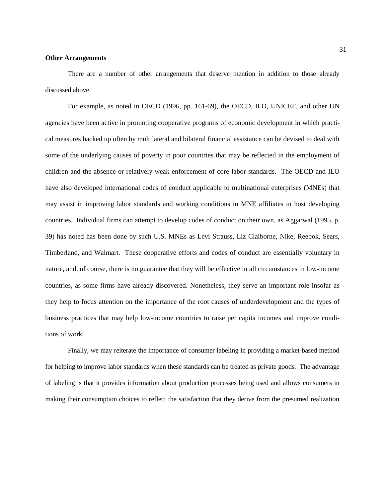#### **Other Arrangements**

There are a number of other arrangements that deserve mention in addition to those already discussed above.

For example, as noted in OECD (1996, pp. 161-69), the OECD, ILO, UNICEF, and other UN agencies have been active in promoting cooperative programs of economic development in which practical measures backed up often by multilateral and bilateral financial assistance can be devised to deal with some of the underlying causes of poverty in poor countries that may be reflected in the employment of children and the absence or relatively weak enforcement of core labor standards. The OECD and ILO have also developed international codes of conduct applicable to multinational enterprises (MNEs) that may assist in improving labor standards and working conditions in MNE affiliates in host developing countries. Individual firms can attempt to develop codes of conduct on their own, as Aggarwal (1995, p. 39) has noted has been done by such U.S. MNEs as Levi Strauss, Liz Claiborne, Nike, Reebok, Sears, Timberland, and Walmart. These cooperative efforts and codes of conduct are essentially voluntary in nature, and, of course, there is no guarantee that they will be effective in all circumstances in low-income countries, as some firms have already discovered. Nonetheless, they serve an important role insofar as they help to focus attention on the importance of the root causes of underdevelopment and the types of business practices that may help low-income countries to raise per capita incomes and improve conditions of work.

Finally, we may reiterate the importance of consumer labeling in providing a market-based method for helping to improve labor standards when these standards can be treated as private goods. The advantage of labeling is that it provides information about production processes being used and allows consumers in making their consumption choices to reflect the satisfaction that they derive from the presumed realization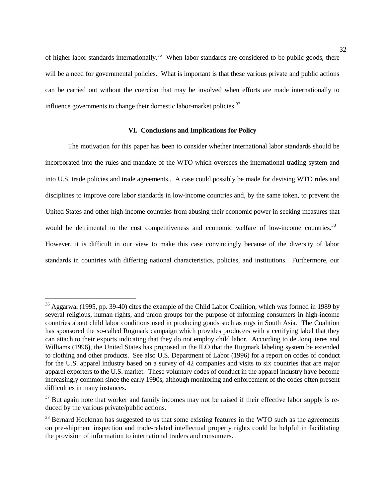of higher labor standards internationally.<sup>36</sup> When labor standards are considered to be public goods, there will be a need for governmental policies. What is important is that these various private and public actions can be carried out without the coercion that may be involved when efforts are made internationally to influence governments to change their domestic labor-market policies.<sup>37</sup>

#### **VI. Conclusions and Implications for Policy**

The motivation for this paper has been to consider whether international labor standards should be incorporated into the rules and mandate of the WTO which oversees the international trading system and into U.S. trade policies and trade agreements.. A case could possibly be made for devising WTO rules and disciplines to improve core labor standards in low-income countries and, by the same token, to prevent the United States and other high-income countries from abusing their economic power in seeking measures that would be detrimental to the cost competitiveness and economic welfare of low-income countries.<sup>38</sup> However, it is difficult in our view to make this case convincingly because of the diversity of labor standards in countries with differing national characteristics, policies, and institutions. Furthermore, our

<sup>&</sup>lt;sup>36</sup> Aggarwal (1995, pp. 39-40) cites the example of the Child Labor Coalition, which was formed in 1989 by several religious, human rights, and union groups for the purpose of informing consumers in high-income countries about child labor conditions used in producing goods such as rugs in South Asia. The Coalition has sponsored the so-called Rugmark campaign which provides producers with a certifying label that they can attach to their exports indicating that they do not employ child labor. According to de Jonquieres and Williams (1996), the United States has proposed in the ILO that the Rugmark labeling system be extended to clothing and other products. See also U.S. Department of Labor (1996) for a report on codes of conduct for the U.S. apparel industry based on a survey of 42 companies and visits to six countries that are major apparel exporters to the U.S. market. These voluntary codes of conduct in the apparel industry have become increasingly common since the early 1990s, although monitoring and enforcement of the codes often present difficulties in many instances.

 $37$  But again note that worker and family incomes may not be raised if their effective labor supply is reduced by the various private/public actions.

 $38$  Bernard Hoekman has suggested to us that some existing features in the WTO such as the agreements on pre-shipment inspection and trade-related intellectual property rights could be helpful in facilitating the provision of information to international traders and consumers.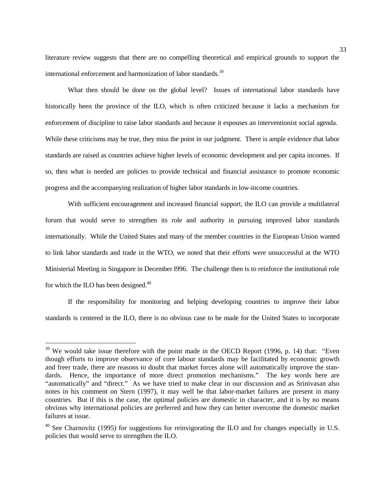literature review suggests that there are no compelling theoretical and empirical grounds to support the international enforcement and harmonization of labor standards.<sup>39</sup>

What then should be done on the global level? Issues of international labor standards have historically been the province of the ILO, which is often criticized because it lacks a mechanism for enforcement of discipline to raise labor standards and because it espouses an interventionist social agenda. While these criticisms may be true, they miss the point in our judgment. There is ample evidence that labor standards are raised as countries achieve higher levels of economic development and per capita incomes. If so, then what is needed are policies to provide technical and financial assistance to promote economic progress and the accompanying realization of higher labor standards in low-income countries.

With sufficient encouragement and increased financial support, the ILO can provide a multilateral forum that would serve to strengthen its role and authority in pursuing improved labor standards internationally. While the United States and many of the member countries in the European Union wanted to link labor standards and trade in the WTO, we noted that their efforts were unsuccessful at the WTO Ministerial Meeting in Singapore in December l996. The challenge then is to reinforce the institutional role for which the ILO has been designed.<sup>40</sup>

If the responsibility for monitoring and helping developing countries to improve their labor standards is centered in the ILO, there is no obvious case to be made for the United States to incorporate

 $39$  We would take issue therefore with the point made in the OECD Report (1996, p. 14) that: "Even though efforts to improve observance of core labour standards may be facilitated by economic growth and freer trade, there are reasons to doubt that market forces alone will automatically improve the standards. Hence, the importance of more direct promotion mechanisms." The key words here are "automatically" and "direct." As we have tried to make clear in our discussion and as Srinivasan also notes in his comment on Stern (1997), it may well be that labor-market failures are present in many countries. But if this is the case, the optimal policies are domestic in character, and it is by no means obvious why international policies are preferred and how they can better overcome the domestic market failures at issue.

<sup>&</sup>lt;sup>40</sup> See Charnovitz (1995) for suggestions for reinvigorating the ILO and for changes especially in U.S. policies that would serve to strengthen the ILO.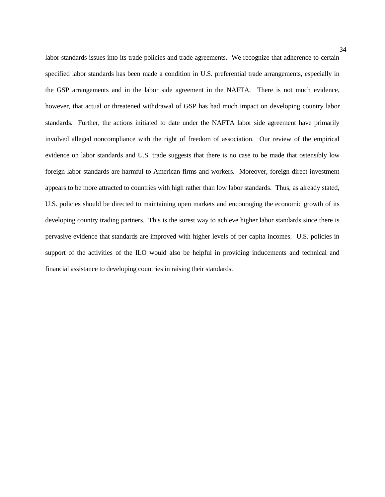labor standards issues into its trade policies and trade agreements. We recognize that adherence to certain specified labor standards has been made a condition in U.S. preferential trade arrangements, especially in the GSP arrangements and in the labor side agreement in the NAFTA. There is not much evidence, however, that actual or threatened withdrawal of GSP has had much impact on developing country labor standards. Further, the actions initiated to date under the NAFTA labor side agreement have primarily involved alleged noncompliance with the right of freedom of association. Our review of the empirical evidence on labor standards and U.S. trade suggests that there is no case to be made that ostensibly low foreign labor standards are harmful to American firms and workers. Moreover, foreign direct investment appears to be more attracted to countries with high rather than low labor standards. Thus, as already stated, U.S. policies should be directed to maintaining open markets and encouraging the economic growth of its developing country trading partners. This is the surest way to achieve higher labor standards since there is pervasive evidence that standards are improved with higher levels of per capita incomes. U.S. policies in support of the activities of the ILO would also be helpful in providing inducements and technical and financial assistance to developing countries in raising their standards.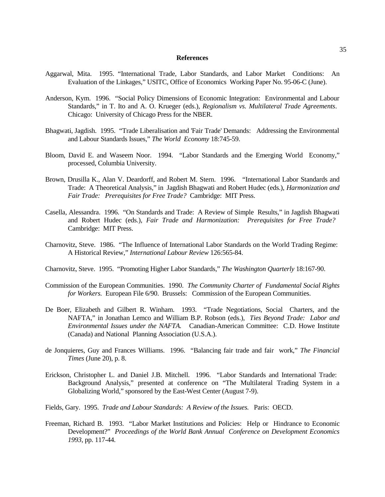#### **References**

- Aggarwal, Mita. 1995. "International Trade, Labor Standards, and Labor Market Conditions: An Evaluation of the Linkages," USITC, Office of Economics Working Paper No. 95-06-C (June).
- Anderson, Kym. 1996. "Social Policy Dimensions of Economic Integration: Environmental and Labour Standards," in T. Ito and A. O. Krueger (eds.), *Regionalism vs. Multilateral Trade Agreements*. Chicago: University of Chicago Press for the NBER.
- Bhagwati, Jagdish. 1995. "Trade Liberalisation and 'Fair Trade' Demands: Addressing the Environmental and Labour Standards Issues," *The World Economy* 18:745-59.
- Bloom, David E. and Waseem Noor. 1994. "Labor Standards and the Emerging World Economy," processed, Columbia University.
- Brown, Drusilla K., Alan V. Deardorff, and Robert M. Stern. 1996. "International Labor Standards and Trade: A Theoretical Analysis," in Jagdish Bhagwati and Robert Hudec (eds.), *Harmonization and Fair Trade: Prerequisites for Free Trade?* Cambridge: MIT Press.
- Casella, Alessandra. 1996. "On Standards and Trade: A Review of Simple Results," in Jagdish Bhagwati and Robert Hudec (eds.), *Fair Trade and Harmonization: Prerequisites for Free Trade?* Cambridge: MIT Press.
- Charnovitz, Steve. 1986. "The Influence of International Labor Standards on the World Trading Regime: A Historical Review," *International Labour Review* 126:565-84.
- Charnovitz, Steve. 1995. "Promoting Higher Labor Standards," *The Washington Quarterly* 18:167-90.
- Commission of the European Communities. 1990. *The Community Charter of Fundamental Social Rights for Workers.* European File 6/90. Brussels: Commission of the European Communities.
- De Boer, Elizabeth and Gilbert R. Winham. 1993. "Trade Negotiations, Social Charters, and the NAFTA," in Jonathan Lemco and William B.P. Robson (eds.), *Ties Beyond Trade: Labor and Environmental Issues under the NAFTA.* Canadian-American Committee: C.D. Howe Institute (Canada) and National Planning Association (U.S.A.).
- de Jonquieres, Guy and Frances Williams. 1996. "Balancing fair trade and fair work," *The Financial Times* (June 20), p. 8.
- Erickson, Christopher L. and Daniel J.B. Mitchell. 1996. "Labor Standards and International Trade: Background Analysis," presented at conference on "The Multilateral Trading System in a Globalizing World," sponsored by the East-West Center (August 7-9).
- Fields, Gary. 1995. *Trade and Labour Standards: A Review of the Issues.* Paris: OECD.
- Freeman, Richard B. 1993. "Labor Market Institutions and Policies: Help or Hindrance to Economic Development?" *Proceedings of the World Bank Annual Conference on Development Economics 1993,* pp. 117-44.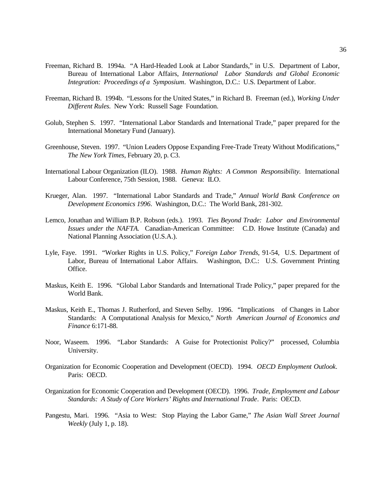- Freeman, Richard B. 1994a. "A Hard-Headed Look at Labor Standards," in U.S. Department of Labor, Bureau of International Labor Affairs, *International Labor Standards and Global Economic Integration: Proceedings of a Symposium*. Washington, D.C.: U.S. Department of Labor.
- Freeman, Richard B. 1994b. "Lessons for the United States," in Richard B. Freeman (ed.), *Working Under Different Rules.* New York: Russell Sage Foundation.
- Golub, Stephen S. 1997. "International Labor Standards and International Trade," paper prepared for the International Monetary Fund (January).
- Greenhouse, Steven. 1997. "Union Leaders Oppose Expanding Free-Trade Treaty Without Modifications," *The New York Times*, February 20, p. C3.
- International Labour Organization (ILO). 1988. *Human Rights: A Common Responsibility.* International Labour Conference, 75th Session, 1988. Geneva: ILO.
- Krueger, Alan. 1997. "International Labor Standards and Trade," *Annual World Bank Conference on Development Economics 1996*. Washington, D.C.: The World Bank, 281-302.
- Lemco, Jonathan and William B.P. Robson (eds.). 1993. *Ties Beyond Trade: Labor and Environmental Issues under the NAFTA.* Canadian-American Committee: C.D. Howe Institute (Canada) and National Planning Association (U.S.A.).
- Lyle, Faye. 1991. "Worker Rights in U.S. Policy," *Foreign Labor Trends,* 91-54, U.S. Department of Labor, Bureau of International Labor Affairs. Washington, D.C.: U.S. Government Printing Office.
- Maskus, Keith E. 1996. "Global Labor Standards and International Trade Policy," paper prepared for the World Bank.
- Maskus, Keith E., Thomas J. Rutherford, and Steven Selby. 1996. "Implications of Changes in Labor Standards: A Computational Analysis for Mexico," *North American Journal of Economics and Finance* 6:171-88.
- Noor, Waseem. 1996. "Labor Standards: A Guise for Protectionist Policy?" processed, Columbia University.
- Organization for Economic Cooperation and Development (OECD). 1994. *OECD Employment Outlook*. Paris: OECD.
- Organization for Economic Cooperation and Development (OECD). 1996. *Trade, Employment and Labour Standards: A Study of Core Workers' Rights and International Trade*. Paris: OECD.
- Pangestu, Mari. 1996. "Asia to West: Stop Playing the Labor Game," *The Asian Wall Street Journal Weekly* (July 1, p. 18).